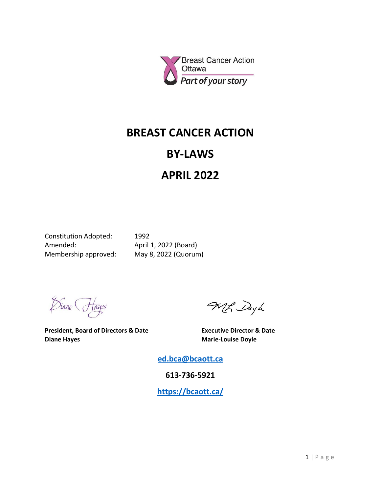

## **BREAST CANCER ACTION**

## **BY-LAWS**

# **APRIL 2022**

Constitution Adopted: 1992 Amended: April 1, 2022 (Board) Membership approved: May 8, 2022 (Quorum)

Diane Hayes

**President, Board of Directors & Date Executive Director & Date Diane Hayes Marie-Louise Doyle** 

MR Dayh

**[ed.bca@bcaott.ca](mailto:ed.bca@bcaott.ca)**

**613-736-5921**

**<https://bcaott.ca/>**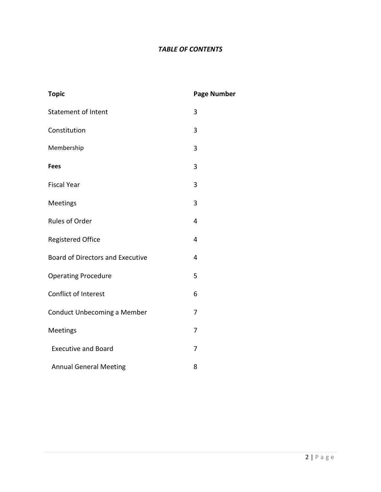### *TABLE OF CONTENTS*

| <b>Topic</b>                            | <b>Page Number</b> |
|-----------------------------------------|--------------------|
| <b>Statement of Intent</b>              | 3                  |
| Constitution                            | 3                  |
| Membership                              | 3                  |
| <b>Fees</b>                             | 3                  |
| <b>Fiscal Year</b>                      | 3                  |
| Meetings                                | 3                  |
| Rules of Order                          | 4                  |
| <b>Registered Office</b>                | 4                  |
| <b>Board of Directors and Executive</b> | 4                  |
| <b>Operating Procedure</b>              | 5                  |
| Conflict of Interest                    | 6                  |
| Conduct Unbecoming a Member             | 7                  |
| Meetings                                | $\overline{7}$     |
| <b>Executive and Board</b>              | 7                  |
| <b>Annual General Meeting</b>           | 8                  |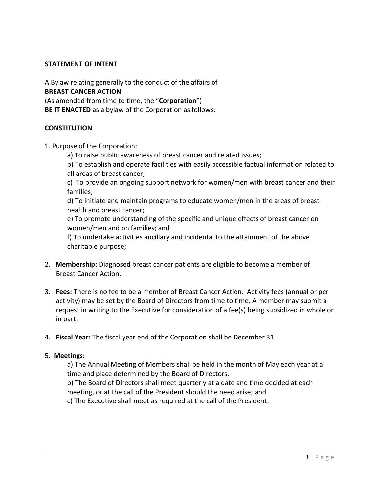#### **STATEMENT OF INTENT**

A Bylaw relating generally to the conduct of the affairs of **BREAST CANCER ACTION** (As amended from time to time, the "**Corporation**") **BE IT ENACTED** as a bylaw of the Corporation as follows:

#### **CONSTITUTION**

- 1. Purpose of the Corporation:
	- a) To raise public awareness of breast cancer and related issues;
	- b) To establish and operate facilities with easily accessible factual information related to all areas of breast cancer;

c) To provide an ongoing support network for women/men with breast cancer and their families;

d) To initiate and maintain programs to educate women/men in the areas of breast health and breast cancer;

e) To promote understanding of the specific and unique effects of breast cancer on women/men and on families; and

f) To undertake activities ancillary and incidental to the attainment of the above charitable purpose;

- 2. **Membership**: Diagnosed breast cancer patients are eligible to become a member of Breast Cancer Action.
- 3. **Fees:** There is no fee to be a member of Breast Cancer Action. Activity fees (annual or per activity) may be set by the Board of Directors from time to time. A member may submit a request in writing to the Executive for consideration of a fee(s) being subsidized in whole or in part.
- 4. **Fiscal Year**: The fiscal year end of the Corporation shall be December 31.

#### 5. **Meetings:**

a) The Annual Meeting of Members shall be held in the month of May each year at a time and place determined by the Board of Directors.

b) The Board of Directors shall meet quarterly at a date and time decided at each meeting, or at the call of the President should the need arise; and

c) The Executive shall meet as required at the call of the President.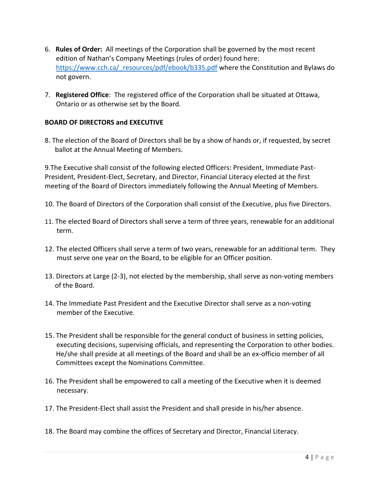- 6. **Rules of Order:** All meetings of the Corporation shall be governed by the most recent edition of Nathan's Company Meetings (rules of order) found here: [https://www.cch.ca/\\_resources/pdf/ebook/b335.pdf](https://www.cch.ca/_resources/pdf/ebook/b335.pdf) where the Constitution and Bylaws do not govern.
- 7. **Registered Office**: The registered office of the Corporation shall be situated at Ottawa, Ontario or as otherwise set by the Board.

#### **BOARD OF DIRECTORS and EXECUTIVE**

8. The election of the Board of Directors shall be by a show of hands or, if requested, by secret ballot at the Annual Meeting of Members.

9.The Executive shall consist of the following elected Officers: President, Immediate Past-President, President-Elect, Secretary, and Director, Financial Literacy elected at the first meeting of the Board of Directors immediately following the Annual Meeting of Members.

- 10. The Board of Directors of the Corporation shall consist of the Executive, plus five Directors.
- 11. The elected Board of Directors shall serve a term of three years, renewable for an additional term.
- 12. The elected Officers shall serve a term of two years, renewable for an additional term. They must serve one year on the Board, to be eligible for an Officer position.
- 13. Directors at Large (2-3), not elected by the membership, shall serve as non-voting members of the Board.
- 14. The Immediate Past President and the Executive Director shall serve as a non-voting member of the Executive.
- 15. The President shall be responsible for the general conduct of business in setting policies, executing decisions, supervising officials, and representing the Corporation to other bodies. He/she shall preside at all meetings of the Board and shall be an ex-officio member of all Committees except the Nominations Committee.
- 16. The President shall be empowered to call a meeting of the Executive when it is deemed necessary.
- 17. The President-Elect shall assist the President and shall preside in his/her absence.
- 18. The Board may combine the offices of Secretary and Director, Financial Literacy.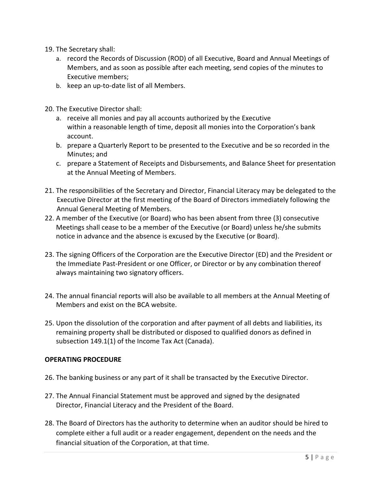- 19. The Secretary shall:
	- a. record the Records of Discussion (ROD) of all Executive, Board and Annual Meetings of Members, and as soon as possible after each meeting, send copies of the minutes to Executive members;
	- b. keep an up-to-date list of all Members.
- 20. The Executive Director shall:
	- a. receive all monies and pay all accounts authorized by the Executive within a reasonable length of time, deposit all monies into the Corporation's bank account.
	- b. prepare a Quarterly Report to be presented to the Executive and be so recorded in the Minutes; and
	- c. prepare a Statement of Receipts and Disbursements, and Balance Sheet for presentation at the Annual Meeting of Members.
- 21. The responsibilities of the Secretary and Director, Financial Literacy may be delegated to the Executive Director at the first meeting of the Board of Directors immediately following the Annual General Meeting of Members.
- 22. A member of the Executive (or Board) who has been absent from three (3) consecutive Meetings shall cease to be a member of the Executive (or Board) unless he/she submits notice in advance and the absence is excused by the Executive (or Board).
- 23. The signing Officers of the Corporation are the Executive Director (ED) and the President or the Immediate Past-President or one Officer, or Director or by any combination thereof always maintaining two signatory officers.
- 24. The annual financial reports will also be available to all members at the Annual Meeting of Members and exist on the BCA website.
- 25. Upon the dissolution of the corporation and after payment of all debts and liabilities, its remaining property shall be distributed or disposed to qualified donors as defined in subsection 149.1(1) of the Income Tax Act (Canada).

#### **OPERATING PROCEDURE**

- 26. The banking business or any part of it shall be transacted by the Executive Director.
- 27. The Annual Financial Statement must be approved and signed by the designated Director, Financial Literacy and the President of the Board.
- 28. The Board of Directors has the authority to determine when an auditor should be hired to complete either a full audit or a reader engagement, dependent on the needs and the financial situation of the Corporation, at that time.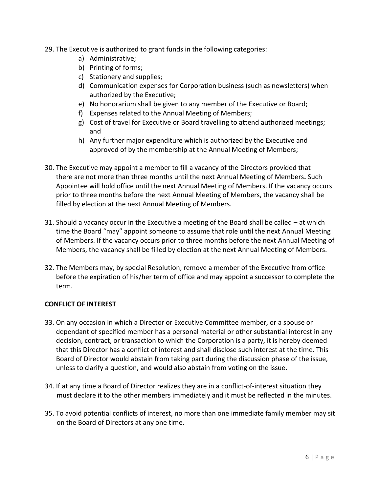- 29. The Executive is authorized to grant funds in the following categories:
	- a) Administrative;
	- b) Printing of forms;
	- c) Stationery and supplies;
	- d) Communication expenses for Corporation business (such as newsletters) when authorized by the Executive;
	- e) No honorarium shall be given to any member of the Executive or Board;
	- f) Expenses related to the Annual Meeting of Members;
	- g) Cost of travel for Executive or Board travelling to attend authorized meetings; and
	- h) Any further major expenditure which is authorized by the Executive and approved of by the membership at the Annual Meeting of Members;
- 30. The Executive may appoint a member to fill a vacancy of the Directors provided that there are not more than three months until the next Annual Meeting of Members**.** Such Appointee will hold office until the next Annual Meeting of Members. If the vacancy occurs prior to three months before the next Annual Meeting of Members, the vacancy shall be filled by election at the next Annual Meeting of Members.
- 31. Should a vacancy occur in the Executive a meeting of the Board shall be called at which time the Board "may" appoint someone to assume that role until the next Annual Meeting of Members. If the vacancy occurs prior to three months before the next Annual Meeting of Members, the vacancy shall be filled by election at the next Annual Meeting of Members.
- 32. The Members may, by special Resolution, remove a member of the Executive from office before the expiration of his/her term of office and may appoint a successor to complete the term.

#### **CONFLICT OF INTEREST**

- 33. On any occasion in which a Director or Executive Committee member, or a spouse or dependant of specified member has a personal material or other substantial interest in any decision, contract, or transaction to which the Corporation is a party, it is hereby deemed that this Director has a conflict of interest and shall disclose such interest at the time. This Board of Director would abstain from taking part during the discussion phase of the issue, unless to clarify a question, and would also abstain from voting on the issue.
- 34. If at any time a Board of Director realizes they are in a conflict-of-interest situation they must declare it to the other members immediately and it must be reflected in the minutes.
- 35. To avoid potential conflicts of interest, no more than one immediate family member may sit on the Board of Directors at any one time.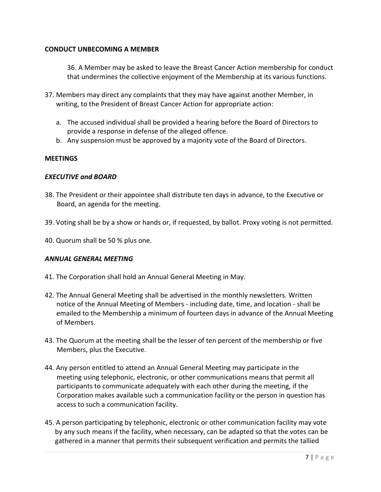#### **CONDUCT UNBECOMING A MEMBER**

36. A Member may be asked to leave the Breast Cancer Action membership for conduct that undermines the collective enjoyment of the Membership at its various functions.

- 37. Members may direct any complaints that they may have against another Member, in writing, to the President of Breast Cancer Action for appropriate action:
	- a. The accused individual shall be provided a hearing before the Board of Directors to provide a response in defense of the alleged offence.
	- b. Any suspension must be approved by a majority vote of the Board of Directors.

#### **MEETINGS**

#### *EXECUTIVE and BOARD*

- 38. The President or their appointee shall distribute ten days in advance, to the Executive or Board, an agenda for the meeting.
- 39. Voting shall be by a show or hands or, if requested, by ballot. Proxy voting is not permitted.
- 40. Quorum shall be 50 % plus one.

#### *ANNUAL GENERAL MEETING*

- 41. The Corporation shall hold an Annual General Meeting in May.
- 42. The Annual General Meeting shall be advertised in the monthly newsletters. Written notice of the Annual Meeting of Members - including date, time, and location - shall be emailed to the Membership a minimum of fourteen days in advance of the Annual Meeting of Members.
- 43. The Quorum at the meeting shall be the lesser of ten percent of the membership or five Members, plus the Executive.
- 44. Any person entitled to attend an Annual General Meeting may participate in the meeting using telephonic, electronic, or other communications means that permit all participants to communicate adequately with each other during the meeting, if the Corporation makes available such a communication facility or the person in question has access to such a communication facility.
- 45. A person participating by telephonic, electronic or other communication facility may vote by any such means if the facility, when necessary, can be adapted so that the votes can be gathered in a manner that permits their subsequent verification and permits the tallied